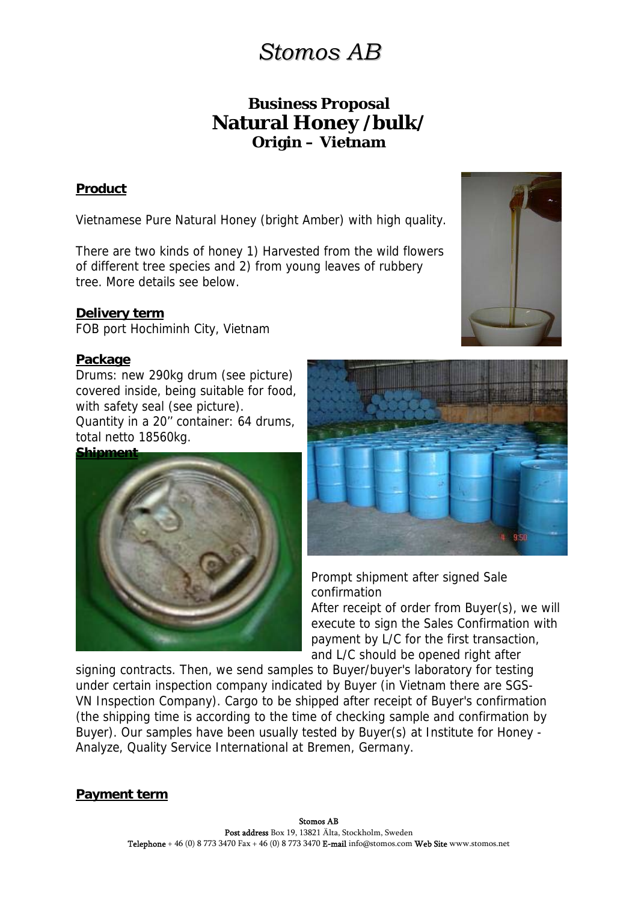# *Stomos AB*

# **Business Proposal Natural Honey /bulk/ Origin – Vietnam**

## **Product**

Vietnamese Pure Natural Honey (bright Amber) with high quality.

There are two kinds of honey 1) Harvested from the wild flowers of different tree species and 2) from young leaves of rubbery tree. More details see below.

#### **Delivery term**

FOB port Hochiminh City, Vietnam

#### **Package**

Drums: new 290kg drum (see picture) covered inside, being suitable for food, with safety seal (see picture).

Quantity in a 20'' container: 64 drums, total netto 18560kg.





Prompt shipment after signed Sale confirmation

After receipt of order from Buyer(s), we will execute to sign the Sales Confirmation with payment by L/C for the first transaction, and L/C should be opened right after

signing contracts. Then, we send samples to Buyer/buyer's laboratory for testing under certain inspection company indicated by Buyer (in Vietnam there are SGS-VN Inspection Company). Cargo to be shipped after receipt of Buyer's confirmation (the shipping time is according to the time of checking sample and confirmation by Buyer). Our samples have been usually tested by Buyer(s) at Institute for Honey - Analyze, Quality Service International at Bremen, Germany.

## **Payment term**

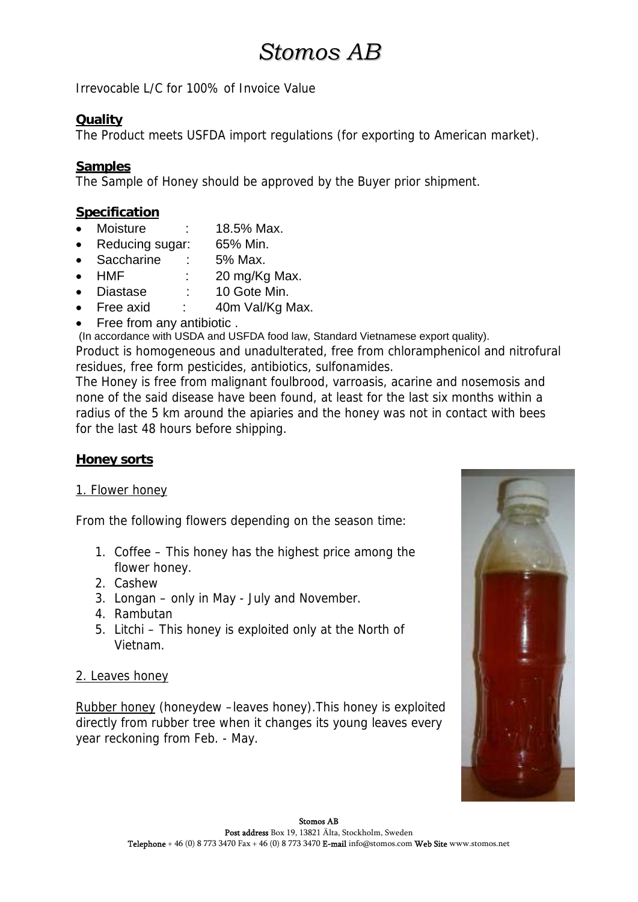# *Stomos AB*

Irrevocable L/C for 100% of Invoice Value

#### **Quality**

The Product meets USFDA import regulations (for exporting to American market).

### **Samples**

The Sample of Honey should be approved by the Buyer prior shipment.

### **Specification**

- Moisture : 18.5% Max.
- Reducing sugar: 65% Min.
- Saccharine : 5% Max.
- HMF : 20 mg/Kg Max.
- Diastase : 10 Gote Min.
- Free axid : 40m Val/Kg Max.
- Free from any antibiotic .

(In accordance with USDA and USFDA food law, Standard Vietnamese export quality).

Product is homogeneous and unadulterated, free from chloramphenicol and nitrofural residues, free form pesticides, antibiotics, sulfonamides.

The Honey is free from malignant foulbrood, varroasis, acarine and nosemosis and none of the said disease have been found, at least for the last six months within a radius of the 5 km around the apiaries and the honey was not in contact with bees for the last 48 hours before shipping.

#### **Honey sorts**

#### 1. Flower honey

From the following flowers depending on the season time:

- 1. Coffee This honey has the highest price among the flower honey.
- 2. Cashew
- 3. Longan only in May July and November.
- 4. Rambutan
- 5. Litchi This honey is exploited only at the North of Vietnam.

#### 2. Leaves honey

Rubber honey (honeydew –leaves honey).This honey is exploited directly from rubber tree when it changes its young leaves every year reckoning from Feb. - May.